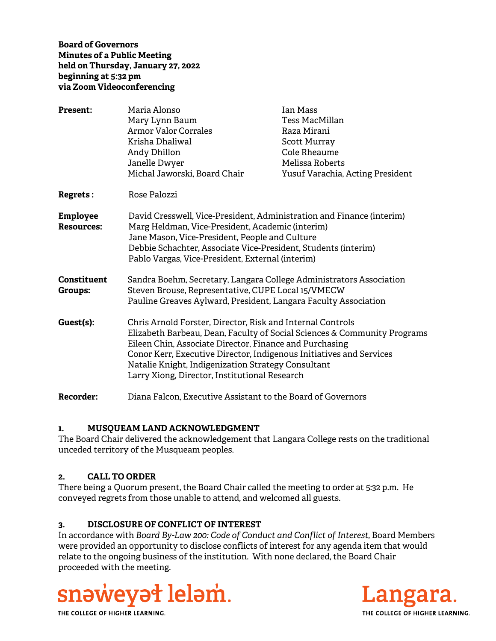## **Board of Governors Minutes of a Public Meeting held on Thursday, January 27, 2022 beginning at 5:32 pm via Zoom Videoconferencing**

| <b>Present:</b>                      | Maria Alonso<br>Mary Lynn Baum<br><b>Armor Valor Corrales</b><br>Krisha Dhaliwal<br>Andy Dhillon<br>Janelle Dwyer<br>Michal Jaworski, Board Chair                                                                                                                                                                                                                               | Ian Mass<br><b>Tess MacMillan</b><br>Raza Mirani<br><b>Scott Murray</b><br>Cole Rheaume<br>Melissa Roberts<br>Yusuf Varachia, Acting President |
|--------------------------------------|---------------------------------------------------------------------------------------------------------------------------------------------------------------------------------------------------------------------------------------------------------------------------------------------------------------------------------------------------------------------------------|------------------------------------------------------------------------------------------------------------------------------------------------|
| <b>Regrets:</b>                      | Rose Palozzi                                                                                                                                                                                                                                                                                                                                                                    |                                                                                                                                                |
| Employee<br><b>Resources:</b>        | David Cresswell, Vice-President, Administration and Finance (interim)<br>Marg Heldman, Vice-President, Academic (interim)<br>Jane Mason, Vice-President, People and Culture<br>Debbie Schachter, Associate Vice-President, Students (interim)<br>Pablo Vargas, Vice-President, External (interim)                                                                               |                                                                                                                                                |
| <b>Constituent</b><br><b>Groups:</b> | Sandra Boehm, Secretary, Langara College Administrators Association<br>Steven Brouse, Representative, CUPE Local 15/VMECW<br>Pauline Greaves Aylward, President, Langara Faculty Association                                                                                                                                                                                    |                                                                                                                                                |
| Guest(s):                            | Chris Arnold Forster, Director, Risk and Internal Controls<br>Elizabeth Barbeau, Dean, Faculty of Social Sciences & Community Programs<br>Eileen Chin, Associate Director, Finance and Purchasing<br>Conor Kerr, Executive Director, Indigenous Initiatives and Services<br>Natalie Knight, Indigenization Strategy Consultant<br>Larry Xiong, Director, Institutional Research |                                                                                                                                                |
| <b>Recorder:</b>                     | Diana Falcon, Executive Assistant to the Board of Governors                                                                                                                                                                                                                                                                                                                     |                                                                                                                                                |

## **1. MUSQUEAM LAND ACKNOWLEDGMENT**

The Board Chair delivered the acknowledgement that Langara College rests on the traditional unceded territory of the Musqueam peoples.

## **2. CALL TO ORDER**

There being a Quorum present, the Board Chair called the meeting to order at 5:32 p.m. He conveyed regrets from those unable to attend, and welcomed all guests.

# **3. DISCLOSURE OF CONFLICT OF INTEREST**

In accordance with *Board By-Law 200: Code of Conduct and Conflict of Interest*, Board Members were provided an opportunity to disclose conflicts of interest for any agenda item that would relate to the ongoing business of the institution. With none declared, the Board Chair proceeded with the meeting.



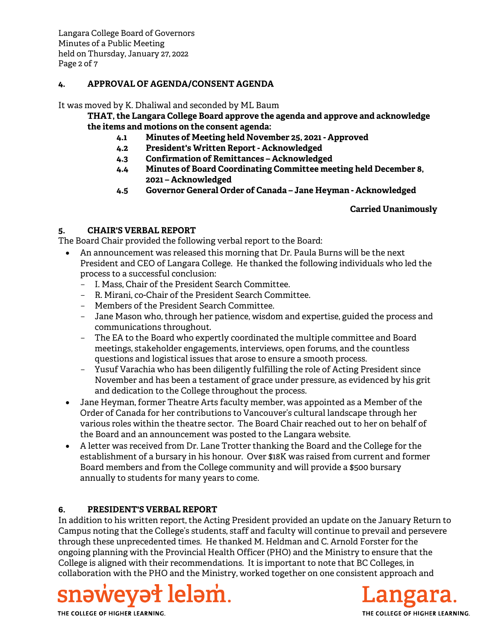## **4. APPROVAL OF AGENDA/CONSENT AGENDA**

It was moved by K. Dhaliwal and seconded by ML Baum

**THAT, the Langara College Board approve the agenda and approve and acknowledge the items and motions on the consent agenda:**

- **4.1 Minutes of Meeting held November 25, 2021 Approved**
- **4.2 President's Written Report Acknowledged**
- **4.3 Confirmation of Remittances Acknowledged**
- **4.4 Minutes of Board Coordinating Committee meeting held December 8, 2021 – Acknowledged**
- **4.5 Governor General Order of Canada Jane Heyman Acknowledged**

## **Carried Unanimously**

## **5. CHAIR'S VERBAL REPORT**

The Board Chair provided the following verbal report to the Board:

- An announcement was released this morning that Dr. Paula Burns will be the next President and CEO of Langara College. He thanked the following individuals who led the process to a successful conclusion:
	- I. Mass, Chair of the President Search Committee.
	- R. Mirani, co-Chair of the President Search Committee.
	- Members of the President Search Committee.
	- Jane Mason who, through her patience, wisdom and expertise, guided the process and communications throughout.
	- The EA to the Board who expertly coordinated the multiple committee and Board meetings, stakeholder engagements, interviews, open forums, and the countless questions and logistical issues that arose to ensure a smooth process.
	- Yusuf Varachia who has been diligently fulfilling the role of Acting President since November and has been a testament of grace under pressure, as evidenced by his grit and dedication to the College throughout the process.
- Jane Heyman, former Theatre Arts faculty member, was appointed as a Member of the Order of Canada for her contributions to Vancouver's cultural landscape through her various roles within the theatre sector. The Board Chair reached out to her on behalf of the Board and an announcement was posted to the Langara website.
- A letter was received from Dr. Lane Trotter thanking the Board and the College for the establishment of a bursary in his honour. Over \$18K was raised from current and former Board members and from the College community and will provide a \$500 bursary annually to students for many years to come.

## **6. PRESIDENT'S VERBAL REPORT**

In addition to his written report, the Acting President provided an update on the January Return to Campus noting that the College's students, staff and faculty will continue to prevail and persevere through these unprecedented times. He thanked M. Heldman and C. Arnold Forster for the ongoing planning with the Provincial Health Officer (PHO) and the Ministry to ensure that the College is aligned with their recommendations. It is important to note that BC Colleges, in collaboration with the PHO and the Ministry, worked together on one consistent approach and



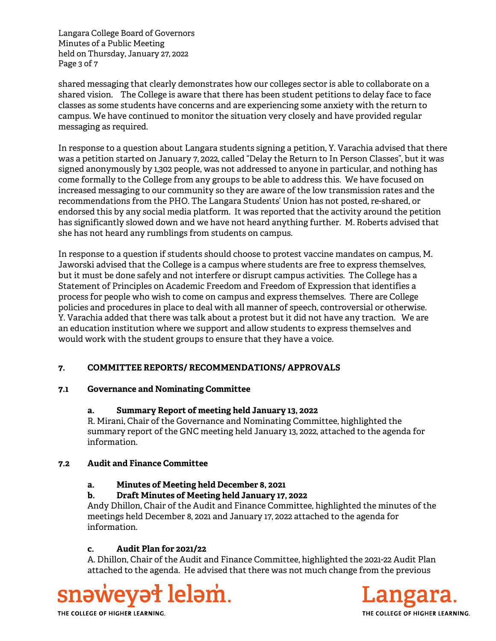Langara College Board of Governors Minutes of a Public Meeting held on Thursday, January 27, 2022 Page 3 of 7

shared messaging that clearly demonstrates how our colleges sector is able to collaborate on a shared vision. The College is aware that there has been student petitions to delay face to face classes as some students have concerns and are experiencing some anxiety with the return to campus. We have continued to monitor the situation very closely and have provided regular messaging as required.

In response to a question about Langara students signing a petition, Y. Varachia advised that there was a petition started on January 7, 2022, called "Delay the Return to In Person Classes", but it was signed anonymously by 1,302 people, was not addressed to anyone in particular, and nothing has come formally to the College from any groups to be able to address this. We have focused on increased messaging to our community so they are aware of the low transmission rates and the recommendations from the PHO. The Langara Students' Union has not posted, re-shared, or endorsed this by any social media platform. It was reported that the activity around the petition has significantly slowed down and we have not heard anything further. M. Roberts advised that she has not heard any rumblings from students on campus.

In response to a question if students should choose to protest vaccine mandates on campus, M. Jaworski advised that the College is a campus where students are free to express themselves, but it must be done safely and not interfere or disrupt campus activities. The College has a Statement of Principles on Academic Freedom and Freedom of Expression that identifies a process for people who wish to come on campus and express themselves. There are College policies and procedures in place to deal with all manner of speech, controversial or otherwise. Y. Varachia added that there was talk about a protest but it did not have any traction. We are an education institution where we support and allow students to express themselves and would work with the student groups to ensure that they have a voice.

# **7. COMMITTEE REPORTS/ RECOMMENDATIONS/ APPROVALS**

## **7.1 Governance and Nominating Committee**

## **a. Summary Report of meeting held January 13, 2022**

R. Mirani, Chair of the Governance and Nominating Committee, highlighted the summary report of the GNC meeting held January 13, 2022, attached to the agenda for information.

## **7.2 Audit and Finance Committee**

## **a. Minutes of Meeting held December 8, 2021**

## **b. Draft Minutes of Meeting held January 17, 2022**

Andy Dhillon, Chair of the Audit and Finance Committee, highlighted the minutes of the meetings held December 8, 2021 and January 17, 2022 attached to the agenda for information.

## **c. Audit Plan for 2021/22**

A. Dhillon, Chair of the Audit and Finance Committee, highlighted the 2021-22 Audit Plan attached to the agenda. He advised that there was not much change from the previous



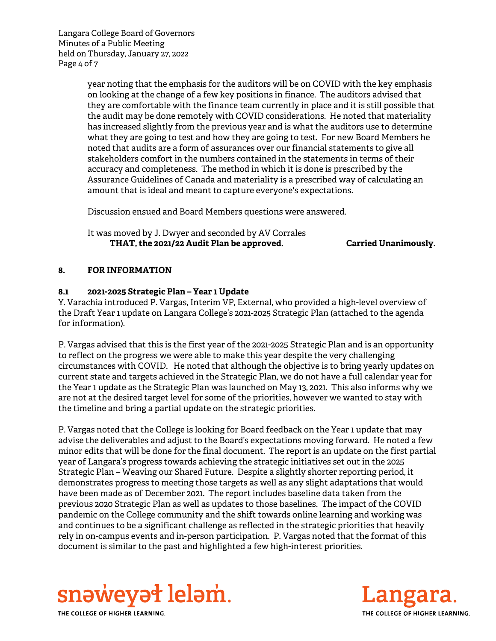Langara College Board of Governors Minutes of a Public Meeting held on Thursday, January 27, 2022 Page 4 of 7

> year noting that the emphasis for the auditors will be on COVID with the key emphasis on looking at the change of a few key positions in finance. The auditors advised that they are comfortable with the finance team currently in place and it is still possible that the audit may be done remotely with COVID considerations. He noted that materiality has increased slightly from the previous year and is what the auditors use to determine what they are going to test and how they are going to test. For new Board Members he noted that audits are a form of assurances over our financial statements to give all stakeholders comfort in the numbers contained in the statements in terms of their accuracy and completeness. The method in which it is done is prescribed by the Assurance Guidelines of Canada and materiality is a prescribed way of calculating an amount that is ideal and meant to capture everyone's expectations.

Discussion ensued and Board Members questions were answered.

It was moved by J. Dwyer and seconded by AV Corrales  **THAT, the 2021/22 Audit Plan be approved. Carried Unanimously.**

### **8. FOR INFORMATION**

## **8.1 2021-2025 Strategic Plan – Year 1 Update**

Y. Varachia introduced P. Vargas, Interim VP, External, who provided a high-level overview of the Draft Year 1 update on Langara College's 2021-2025 Strategic Plan (attached to the agenda for information).

P. Vargas advised that this is the first year of the 2021-2025 Strategic Plan and is an opportunity to reflect on the progress we were able to make this year despite the very challenging circumstances with COVID. He noted that although the objective is to bring yearly updates on current state and targets achieved in the Strategic Plan, we do not have a full calendar year for the Year 1 update as the Strategic Plan was launched on May 13, 2021. This also informs why we are not at the desired target level for some of the priorities, however we wanted to stay with the timeline and bring a partial update on the strategic priorities.

P. Vargas noted that the College is looking for Board feedback on the Year 1 update that may advise the deliverables and adjust to the Board's expectations moving forward. He noted a few minor edits that will be done for the final document. The report is an update on the first partial year of Langara's progress towards achieving the strategic initiatives set out in the 2025 Strategic Plan – Weaving our Shared Future. Despite a slightly shorter reporting period, it demonstrates progress to meeting those targets as well as any slight adaptations that would have been made as of December 2021. The report includes baseline data taken from the previous 2020 Strategic Plan as well as updates to those baselines. The impact of the COVID pandemic on the College community and the shift towards online learning and working was and continues to be a significant challenge as reflected in the strategic priorities that heavily rely in on-campus events and in-person participation. P. Vargas noted that the format of this document is similar to the past and highlighted a few high-interest priorities.



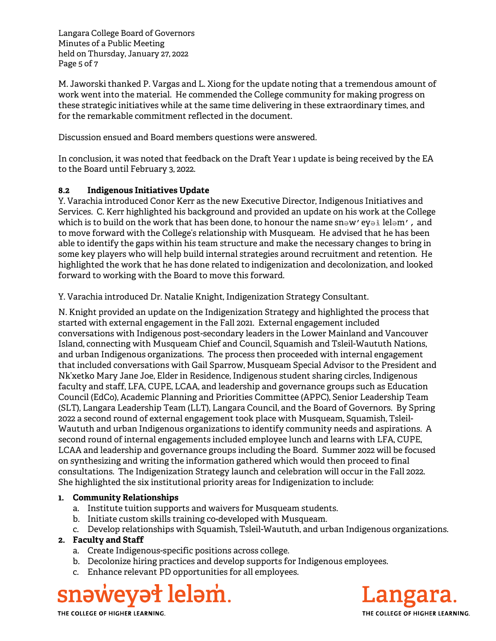Langara College Board of Governors Minutes of a Public Meeting held on Thursday, January 27, 2022 Page 5 of 7

M. Jaworski thanked P. Vargas and L. Xiong for the update noting that a tremendous amount of work went into the material. He commended the College community for making progress on these strategic initiatives while at the same time delivering in these extraordinary times, and for the remarkable commitment reflected in the document.

Discussion ensued and Board members questions were answered.

In conclusion, it was noted that feedback on the Draft Year 1 update is being received by the EA to the Board until February 3, 2022.

# **8.2 Indigenous Initiatives Update**

Y. Varachia introduced Conor Kerr as the new Executive Director, Indigenous Initiatives and Services. C. Kerr highlighted his background and provided an update on his work at the College which is to build on the work that has been done, to honour the name snәw' eyә lelәm', and to move forward with the College's relationship with Musqueam. He advised that he has been able to identify the gaps within his team structure and make the necessary changes to bring in some key players who will help build internal strategies around recruitment and retention. He highlighted the work that he has done related to indigenization and decolonization, and looked forward to working with the Board to move this forward.

Y. Varachia introduced Dr. Natalie Knight, Indigenization Strategy Consultant.

N. Knight provided an update on the Indigenization Strategy and highlighted the process that started with external engagement in the Fall 2021. External engagement included conversations with Indigenous post-secondary leaders in the Lower Mainland and Vancouver Island, connecting with Musqueam Chief and Council, Squamish and Tsleil-Waututh Nations, and urban Indigenous organizations. The process then proceeded with internal engagement that included conversations with Gail Sparrow, Musqueam Special Advisor to the President and Nk'xetko Mary Jane Joe, Elder in Residence, Indigenous student sharing circles, Indigenous faculty and staff, LFA, CUPE, LCAA, and leadership and governance groups such as Education Council (EdCo), Academic Planning and Priorities Committee (APPC), Senior Leadership Team (SLT), Langara Leadership Team (LLT), Langara Council, and the Board of Governors. By Spring 2022 a second round of external engagement took place with Musqueam, Squamish, Tsleil-Waututh and urban Indigenous organizations to identify community needs and aspirations. A second round of internal engagements included employee lunch and learns with LFA, CUPE, LCAA and leadership and governance groups including the Board. Summer 2022 will be focused on synthesizing and writing the information gathered which would then proceed to final consultations. The Indigenization Strategy launch and celebration will occur in the Fall 2022. She highlighted the six institutional priority areas for Indigenization to include:

# **1. Community Relationships**

- a. Institute tuition supports and waivers for Musqueam students.
- b. Initiate custom skills training co-developed with Musqueam.
- c. Develop relationships with Squamish, Tsleil-Waututh, and urban Indigenous organizations.

## **2. Faculty and Staff**

- a. Create Indigenous-specific positions across college.
- b. Decolonize hiring practices and develop supports for Indigenous employees.
- c. Enhance relevant PD opportunities for all employees.

# snəweyət leləm.

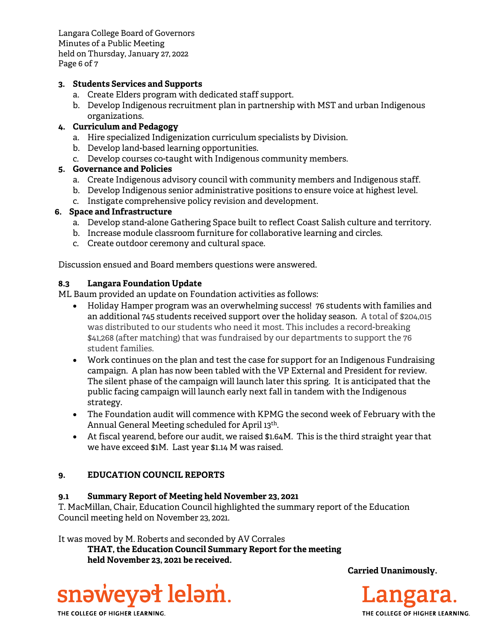Langara College Board of Governors Minutes of a Public Meeting held on Thursday, January 27, 2022 Page 6 of 7

## **3. Students Services and Supports**

- a. Create Elders program with dedicated staff support.
- b. Develop Indigenous recruitment plan in partnership with MST and urban Indigenous organizations.

# **4. Curriculum and Pedagogy**

- a. Hire specialized Indigenization curriculum specialists by Division.
- b. Develop land-based learning opportunities.
- c. Develop courses co-taught with Indigenous community members.

## **5. Governance and Policies**

- a. Create Indigenous advisory council with community members and Indigenous staff.
- b. Develop Indigenous senior administrative positions to ensure voice at highest level.
- c. Instigate comprehensive policy revision and development.

## **6. Space and Infrastructure**

- a. Develop stand-alone Gathering Space built to reflect Coast Salish culture and territory.
- b. Increase module classroom furniture for collaborative learning and circles.
- c. Create outdoor ceremony and cultural space.

Discussion ensued and Board members questions were answered.

## **8.3 Langara Foundation Update**

ML Baum provided an update on Foundation activities as follows:

- Holiday Hamper program was an overwhelming success! 76 students with families and an additional 745 students received support over the holiday season. A total of \$204,015 was distributed to our students who need it most. This includes a record-breaking \$41,268 (after matching) that was fundraised by our departments to support the 76 student families.
- Work continues on the plan and test the case for support for an Indigenous Fundraising campaign. A plan has now been tabled with the VP External and President for review. The silent phase of the campaign will launch later this spring. It is anticipated that the public facing campaign will launch early next fall in tandem with the Indigenous strategy.
- The Foundation audit will commence with KPMG the second week of February with the Annual General Meeting scheduled for April 13th.
- At fiscal yearend, before our audit, we raised \$1.64M. This is the third straight year that we have exceed \$1M. Last year \$1.14 M was raised.

## **9. EDUCATION COUNCIL REPORTS**

## **9.1 Summary Report of Meeting held November 23, 2021**

T. MacMillan, Chair, Education Council highlighted the summary report of the Education Council meeting held on November 23, 2021.

It was moved by M. Roberts and seconded by AV Corrales

**THAT, the Education Council Summary Report for the meeting held November 23, 2021 be received.** 



Langara.

**Carried Unanimously.** 

THE COLLEGE OF HIGHER LEARNING.